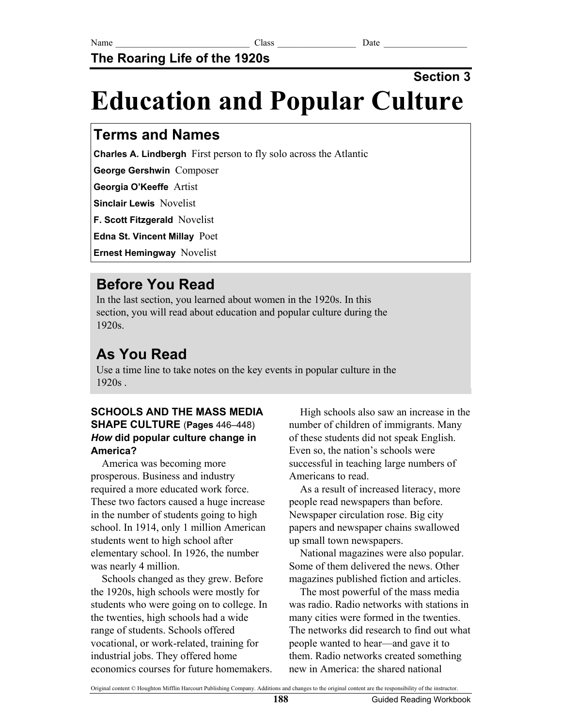**The Roaring Life of the 1920s**

# **Section 3 Education and Popular Culture**

## **Terms and Names**

**Charles A. Lindbergh** First person to fly solo across the Atlantic

**George Gershwin** Composer

**Georgia O'Keeffe** Artist

**Sinclair Lewis** Novelist

**F. Scott Fitzgerald** Novelist

**Edna St. Vincent Millay** Poet

**Ernest Hemingway** Novelist

## **Before You Read**

In the last section, you learned about women in the 1920s. In this section, you will read about education and popular culture during the 1920s.

# **As You Read**

Use a time line to take notes on the key events in popular culture in the 1920s .

### **SCHOOLS AND THE MASS MEDIA SHAPE CULTURE** (**Pages** 446–448) *How* **did popular culture change in America?**

America was becoming more prosperous. Business and industry required a more educated work force. These two factors caused a huge increase in the number of students going to high school. In 1914, only 1 million American students went to high school after elementary school. In 1926, the number was nearly 4 million.

Schools changed as they grew. Before the 1920s, high schools were mostly for students who were going on to college. In the twenties, high schools had a wide range of students. Schools offered vocational, or work-related, training for industrial jobs. They offered home economics courses for future homemakers.

High schools also saw an increase in the number of children of immigrants. Many of these students did not speak English. Even so, the nation's schools were successful in teaching large numbers of Americans to read.

As a result of increased literacy, more people read newspapers than before. Newspaper circulation rose. Big city papers and newspaper chains swallowed up small town newspapers.

National magazines were also popular. Some of them delivered the news. Other magazines published fiction and articles.

The most powerful of the mass media was radio. Radio networks with stations in many cities were formed in the twenties. The networks did research to find out what people wanted to hear—and gave it to them. Radio networks created something new in America: the shared national

Original content © Houghton Mifflin Harcourt Publishing Company. Additions and changes to the original content are the responsibility of the instructor.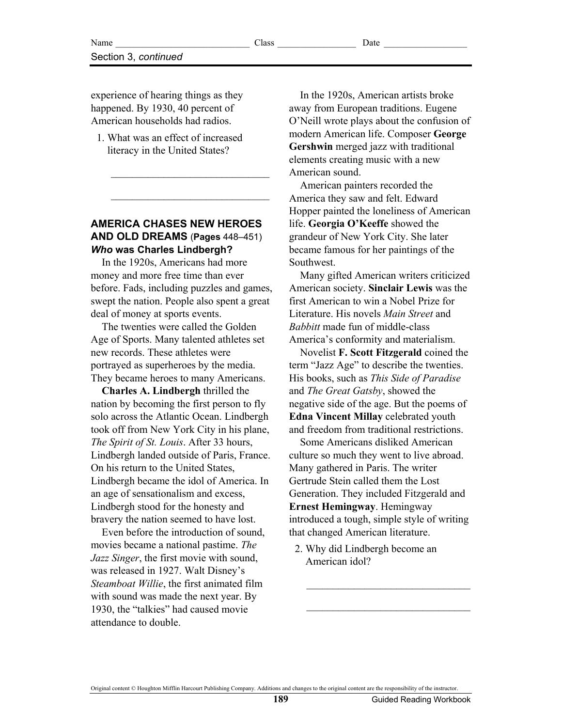experience of hearing things as they happened. By 1930, 40 percent of American households had radios.

 1. What was an effect of increased literacy in the United States?

#### **AMERICA CHASES NEW HEROES AND OLD DREAMS** (**Pages** 448–451) *Who* **was Charles Lindbergh?**

 $\overline{\phantom{a}}$  , where  $\overline{\phantom{a}}$  , where  $\overline{\phantom{a}}$  , where  $\overline{\phantom{a}}$ 

 $\overline{\phantom{a}}$  , where  $\overline{\phantom{a}}$  , where  $\overline{\phantom{a}}$  , where  $\overline{\phantom{a}}$ 

In the 1920s, Americans had more money and more free time than ever before. Fads, including puzzles and games, swept the nation. People also spent a great deal of money at sports events.

The twenties were called the Golden Age of Sports. Many talented athletes set new records. These athletes were portrayed as superheroes by the media. They became heroes to many Americans.

**Charles A. Lindbergh** thrilled the nation by becoming the first person to fly solo across the Atlantic Ocean. Lindbergh took off from New York City in his plane, *The Spirit of St. Louis*. After 33 hours, Lindbergh landed outside of Paris, France. On his return to the United States, Lindbergh became the idol of America. In an age of sensationalism and excess, Lindbergh stood for the honesty and bravery the nation seemed to have lost.

Even before the introduction of sound, movies became a national pastime. *The Jazz Singer*, the first movie with sound, was released in 1927. Walt Disney's *Steamboat Willie*, the first animated film with sound was made the next year. By 1930, the "talkies" had caused movie attendance to double.

In the 1920s, American artists broke away from European traditions. Eugene O'Neill wrote plays about the confusion of modern American life. Composer **George Gershwin** merged jazz with traditional elements creating music with a new American sound.

American painters recorded the America they saw and felt. Edward Hopper painted the loneliness of American life. **Georgia O'Keeffe** showed the grandeur of New York City. She later became famous for her paintings of the Southwest.

Many gifted American writers criticized American society. **Sinclair Lewis** was the first American to win a Nobel Prize for Literature. His novels *Main Street* and *Babbitt* made fun of middle-class America's conformity and materialism.

Novelist **F. Scott Fitzgerald** coined the term "Jazz Age" to describe the twenties. His books, such as *This Side of Paradise* and *The Great Gatsby*, showed the negative side of the age. But the poems of **Edna Vincent Millay** celebrated youth and freedom from traditional restrictions.

Some Americans disliked American culture so much they went to live abroad. Many gathered in Paris. The writer Gertrude Stein called them the Lost Generation. They included Fitzgerald and **Ernest Hemingway**. Hemingway introduced a tough, simple style of writing that changed American literature.

 2. Why did Lindbergh become an American idol?

 $\mathcal{L}_\text{max}$ 

 $\mathcal{L}_\text{max}$